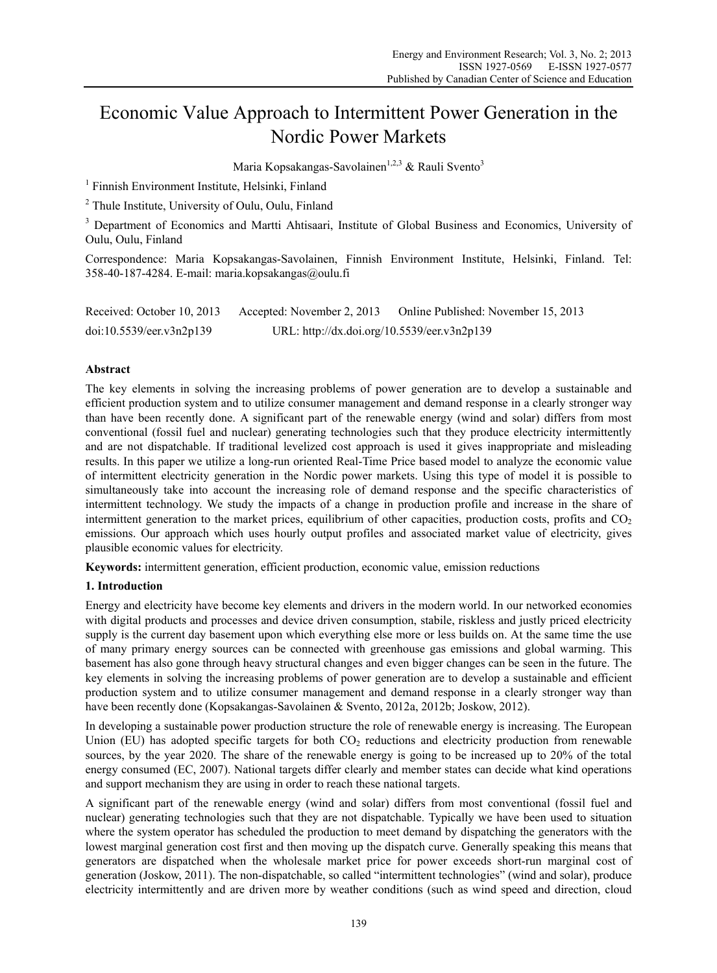# Economic Value Approach to Intermittent Power Generation in the Nordic Power Markets

Maria Kopsakangas-Savolainen<sup>1,2,3</sup> & Rauli Svento<sup>3</sup>

<sup>1</sup> Finnish Environment Institute, Helsinki, Finland

<sup>2</sup> Thule Institute, University of Oulu, Oulu, Finland

<sup>3</sup> Department of Economics and Martti Ahtisaari, Institute of Global Business and Economics, University of Oulu, Oulu, Finland

Correspondence: Maria Kopsakangas-Savolainen, Finnish Environment Institute, Helsinki, Finland. Tel: 358-40-187-4284. E-mail: maria.kopsakangas@oulu.fi

| Received: October 10, 2013 | Accepted: November 2, 2013                  | Online Published: November 15, 2013 |
|----------------------------|---------------------------------------------|-------------------------------------|
| doi:10.5539/eer.v3n2p139   | URL: http://dx.doi.org/10.5539/eer.v3n2p139 |                                     |

# **Abstract**

The key elements in solving the increasing problems of power generation are to develop a sustainable and efficient production system and to utilize consumer management and demand response in a clearly stronger way than have been recently done. A significant part of the renewable energy (wind and solar) differs from most conventional (fossil fuel and nuclear) generating technologies such that they produce electricity intermittently and are not dispatchable. If traditional levelized cost approach is used it gives inappropriate and misleading results. In this paper we utilize a long-run oriented Real-Time Price based model to analyze the economic value of intermittent electricity generation in the Nordic power markets. Using this type of model it is possible to simultaneously take into account the increasing role of demand response and the specific characteristics of intermittent technology. We study the impacts of a change in production profile and increase in the share of intermittent generation to the market prices, equilibrium of other capacities, production costs, profits and  $CO<sub>2</sub>$ emissions. Our approach which uses hourly output profiles and associated market value of electricity, gives plausible economic values for electricity.

**Keywords:** intermittent generation, efficient production, economic value, emission reductions

# **1. Introduction**

Energy and electricity have become key elements and drivers in the modern world. In our networked economies with digital products and processes and device driven consumption, stabile, riskless and justly priced electricity supply is the current day basement upon which everything else more or less builds on. At the same time the use of many primary energy sources can be connected with greenhouse gas emissions and global warming. This basement has also gone through heavy structural changes and even bigger changes can be seen in the future. The key elements in solving the increasing problems of power generation are to develop a sustainable and efficient production system and to utilize consumer management and demand response in a clearly stronger way than have been recently done (Kopsakangas-Savolainen & Svento, 2012a, 2012b; Joskow, 2012).

In developing a sustainable power production structure the role of renewable energy is increasing. The European Union (EU) has adopted specific targets for both  $CO<sub>2</sub>$  reductions and electricity production from renewable sources, by the year 2020. The share of the renewable energy is going to be increased up to 20% of the total energy consumed (EC, 2007). National targets differ clearly and member states can decide what kind operations and support mechanism they are using in order to reach these national targets.

A significant part of the renewable energy (wind and solar) differs from most conventional (fossil fuel and nuclear) generating technologies such that they are not dispatchable. Typically we have been used to situation where the system operator has scheduled the production to meet demand by dispatching the generators with the lowest marginal generation cost first and then moving up the dispatch curve. Generally speaking this means that generators are dispatched when the wholesale market price for power exceeds short-run marginal cost of generation (Joskow, 2011). The non-dispatchable, so called "intermittent technologies" (wind and solar), produce electricity intermittently and are driven more by weather conditions (such as wind speed and direction, cloud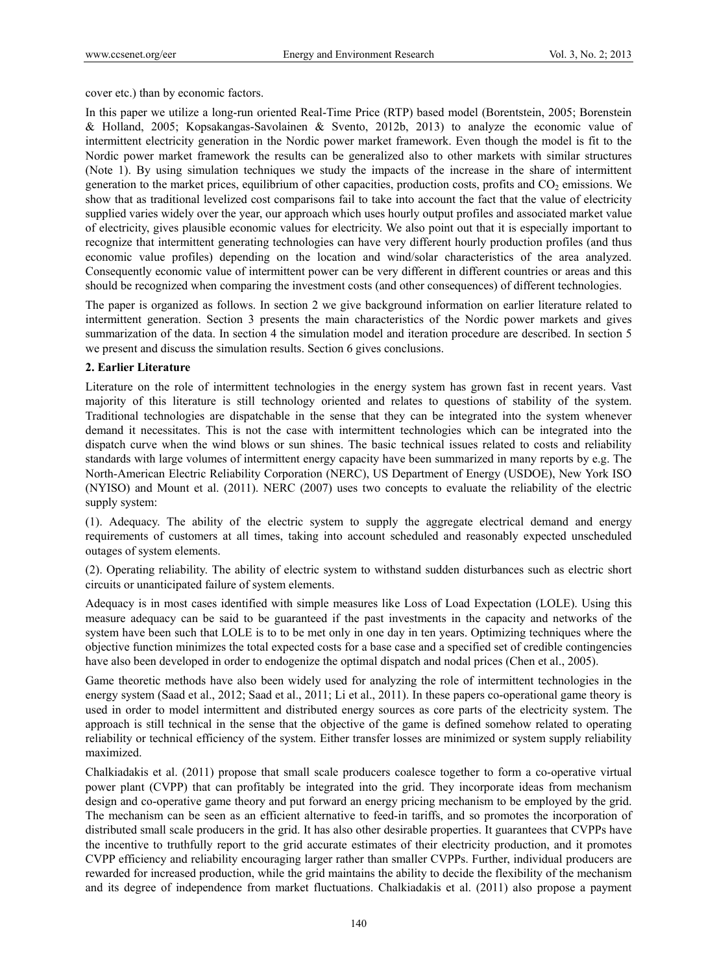cover etc.) than by economic factors.

In this paper we utilize a long-run oriented Real-Time Price (RTP) based model (Borentstein, 2005; Borenstein & Holland, 2005; Kopsakangas-Savolainen & Svento, 2012b, 2013) to analyze the economic value of intermittent electricity generation in the Nordic power market framework. Even though the model is fit to the Nordic power market framework the results can be generalized also to other markets with similar structures (Note 1). By using simulation techniques we study the impacts of the increase in the share of intermittent generation to the market prices, equilibrium of other capacities, production costs, profits and  $CO<sub>2</sub>$  emissions. We show that as traditional levelized cost comparisons fail to take into account the fact that the value of electricity supplied varies widely over the year, our approach which uses hourly output profiles and associated market value of electricity, gives plausible economic values for electricity. We also point out that it is especially important to recognize that intermittent generating technologies can have very different hourly production profiles (and thus economic value profiles) depending on the location and wind/solar characteristics of the area analyzed. Consequently economic value of intermittent power can be very different in different countries or areas and this should be recognized when comparing the investment costs (and other consequences) of different technologies.

The paper is organized as follows. In section 2 we give background information on earlier literature related to intermittent generation. Section 3 presents the main characteristics of the Nordic power markets and gives summarization of the data. In section 4 the simulation model and iteration procedure are described. In section 5 we present and discuss the simulation results. Section 6 gives conclusions.

# **2. Earlier Literature**

Literature on the role of intermittent technologies in the energy system has grown fast in recent years. Vast majority of this literature is still technology oriented and relates to questions of stability of the system. Traditional technologies are dispatchable in the sense that they can be integrated into the system whenever demand it necessitates. This is not the case with intermittent technologies which can be integrated into the dispatch curve when the wind blows or sun shines. The basic technical issues related to costs and reliability standards with large volumes of intermittent energy capacity have been summarized in many reports by e.g. The North-American Electric Reliability Corporation (NERC), US Department of Energy (USDOE), New York ISO (NYISO) and Mount et al. (2011). NERC (2007) uses two concepts to evaluate the reliability of the electric supply system:

(1). Adequacy. The ability of the electric system to supply the aggregate electrical demand and energy requirements of customers at all times, taking into account scheduled and reasonably expected unscheduled outages of system elements.

(2). Operating reliability. The ability of electric system to withstand sudden disturbances such as electric short circuits or unanticipated failure of system elements.

Adequacy is in most cases identified with simple measures like Loss of Load Expectation (LOLE). Using this measure adequacy can be said to be guaranteed if the past investments in the capacity and networks of the system have been such that LOLE is to to be met only in one day in ten years. Optimizing techniques where the objective function minimizes the total expected costs for a base case and a specified set of credible contingencies have also been developed in order to endogenize the optimal dispatch and nodal prices (Chen et al., 2005).

Game theoretic methods have also been widely used for analyzing the role of intermittent technologies in the energy system (Saad et al., 2012; Saad et al., 2011; Li et al., 2011). In these papers co-operational game theory is used in order to model intermittent and distributed energy sources as core parts of the electricity system. The approach is still technical in the sense that the objective of the game is defined somehow related to operating reliability or technical efficiency of the system. Either transfer losses are minimized or system supply reliability maximized.

Chalkiadakis et al. (2011) propose that small scale producers coalesce together to form a co-operative virtual power plant (CVPP) that can profitably be integrated into the grid. They incorporate ideas from mechanism design and co-operative game theory and put forward an energy pricing mechanism to be employed by the grid. The mechanism can be seen as an efficient alternative to feed-in tariffs, and so promotes the incorporation of distributed small scale producers in the grid. It has also other desirable properties. It guarantees that CVPPs have the incentive to truthfully report to the grid accurate estimates of their electricity production, and it promotes CVPP efficiency and reliability encouraging larger rather than smaller CVPPs. Further, individual producers are rewarded for increased production, while the grid maintains the ability to decide the flexibility of the mechanism and its degree of independence from market fluctuations. Chalkiadakis et al. (2011) also propose a payment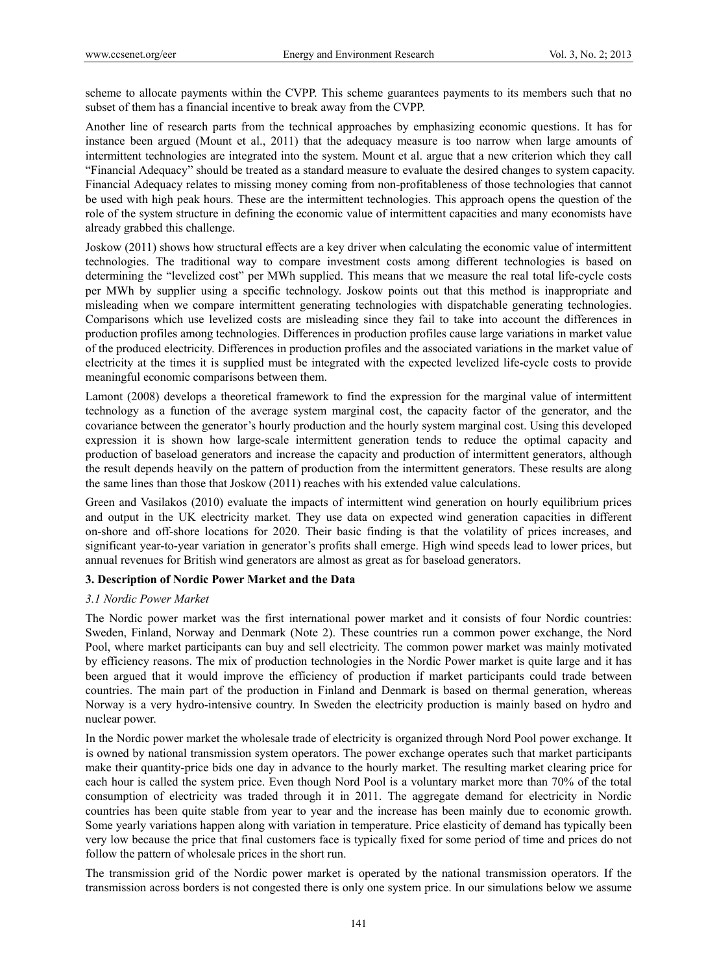scheme to allocate payments within the CVPP. This scheme guarantees payments to its members such that no subset of them has a financial incentive to break away from the CVPP.

Another line of research parts from the technical approaches by emphasizing economic questions. It has for instance been argued (Mount et al., 2011) that the adequacy measure is too narrow when large amounts of intermittent technologies are integrated into the system. Mount et al. argue that a new criterion which they call "Financial Adequacy" should be treated as a standard measure to evaluate the desired changes to system capacity. Financial Adequacy relates to missing money coming from non-profitableness of those technologies that cannot be used with high peak hours. These are the intermittent technologies. This approach opens the question of the role of the system structure in defining the economic value of intermittent capacities and many economists have already grabbed this challenge.

Joskow (2011) shows how structural effects are a key driver when calculating the economic value of intermittent technologies. The traditional way to compare investment costs among different technologies is based on determining the "levelized cost" per MWh supplied. This means that we measure the real total life-cycle costs per MWh by supplier using a specific technology. Joskow points out that this method is inappropriate and misleading when we compare intermittent generating technologies with dispatchable generating technologies. Comparisons which use levelized costs are misleading since they fail to take into account the differences in production profiles among technologies. Differences in production profiles cause large variations in market value of the produced electricity. Differences in production profiles and the associated variations in the market value of electricity at the times it is supplied must be integrated with the expected levelized life-cycle costs to provide meaningful economic comparisons between them.

Lamont (2008) develops a theoretical framework to find the expression for the marginal value of intermittent technology as a function of the average system marginal cost, the capacity factor of the generator, and the covariance between the generator's hourly production and the hourly system marginal cost. Using this developed expression it is shown how large-scale intermittent generation tends to reduce the optimal capacity and production of baseload generators and increase the capacity and production of intermittent generators, although the result depends heavily on the pattern of production from the intermittent generators. These results are along the same lines than those that Joskow (2011) reaches with his extended value calculations.

Green and Vasilakos (2010) evaluate the impacts of intermittent wind generation on hourly equilibrium prices and output in the UK electricity market. They use data on expected wind generation capacities in different on-shore and off-shore locations for 2020. Their basic finding is that the volatility of prices increases, and significant year-to-year variation in generator's profits shall emerge. High wind speeds lead to lower prices, but annual revenues for British wind generators are almost as great as for baseload generators.

# **3. Description of Nordic Power Market and the Data**

# *3.1 Nordic Power Market*

The Nordic power market was the first international power market and it consists of four Nordic countries: Sweden, Finland, Norway and Denmark (Note 2). These countries run a common power exchange, the Nord Pool, where market participants can buy and sell electricity. The common power market was mainly motivated by efficiency reasons. The mix of production technologies in the Nordic Power market is quite large and it has been argued that it would improve the efficiency of production if market participants could trade between countries. The main part of the production in Finland and Denmark is based on thermal generation, whereas Norway is a very hydro-intensive country. In Sweden the electricity production is mainly based on hydro and nuclear power.

In the Nordic power market the wholesale trade of electricity is organized through Nord Pool power exchange. It is owned by national transmission system operators. The power exchange operates such that market participants make their quantity-price bids one day in advance to the hourly market. The resulting market clearing price for each hour is called the system price. Even though Nord Pool is a voluntary market more than 70% of the total consumption of electricity was traded through it in 2011. The aggregate demand for electricity in Nordic countries has been quite stable from year to year and the increase has been mainly due to economic growth. Some yearly variations happen along with variation in temperature. Price elasticity of demand has typically been very low because the price that final customers face is typically fixed for some period of time and prices do not follow the pattern of wholesale prices in the short run.

The transmission grid of the Nordic power market is operated by the national transmission operators. If the transmission across borders is not congested there is only one system price. In our simulations below we assume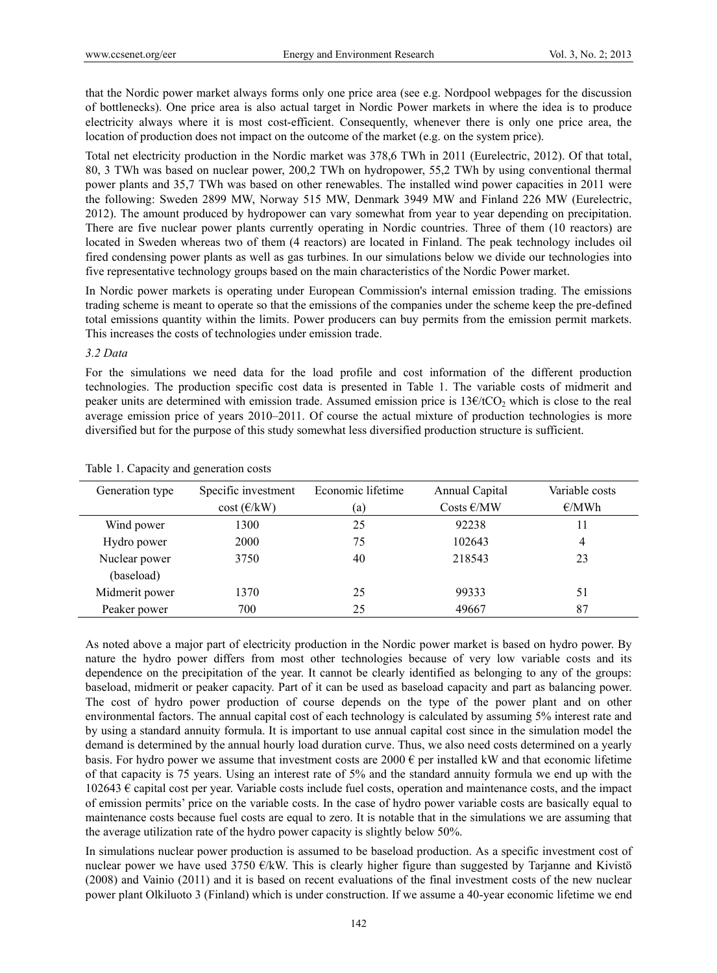that the Nordic power market always forms only one price area (see e.g. Nordpool webpages for the discussion of bottlenecks). One price area is also actual target in Nordic Power markets in where the idea is to produce electricity always where it is most cost-efficient. Consequently, whenever there is only one price area, the location of production does not impact on the outcome of the market (e.g. on the system price).

Total net electricity production in the Nordic market was 378,6 TWh in 2011 (Eurelectric, 2012). Of that total, 80, 3 TWh was based on nuclear power, 200,2 TWh on hydropower, 55,2 TWh by using conventional thermal power plants and 35,7 TWh was based on other renewables. The installed wind power capacities in 2011 were the following: Sweden 2899 MW, Norway 515 MW, Denmark 3949 MW and Finland 226 MW (Eurelectric, 2012). The amount produced by hydropower can vary somewhat from year to year depending on precipitation. There are five nuclear power plants currently operating in Nordic countries. Three of them (10 reactors) are located in Sweden whereas two of them (4 reactors) are located in Finland. The peak technology includes oil fired condensing power plants as well as gas turbines. In our simulations below we divide our technologies into five representative technology groups based on the main characteristics of the Nordic Power market.

In Nordic power markets is operating under European Commission's internal emission trading. The emissions trading scheme is meant to operate so that the emissions of the companies under the scheme keep the pre-defined total emissions quantity within the limits. Power producers can buy permits from the emission permit markets. This increases the costs of technologies under emission trade.

#### *3.2 Data*

For the simulations we need data for the load profile and cost information of the different production technologies. The production specific cost data is presented in Table 1. The variable costs of midmerit and peaker units are determined with emission trade. Assumed emission price is  $13 \epsilon t$  CO<sub>2</sub> which is close to the real average emission price of years 2010–2011. Of course the actual mixture of production technologies is more diversified but for the purpose of this study somewhat less diversified production structure is sufficient.

| Generation type | Specific investment | Economic lifetime | Annual Capital | Variable costs |
|-----------------|---------------------|-------------------|----------------|----------------|
|                 | $cost(\text{E/kW})$ | (a)               | Costs $E/MW$   | E/MWh          |
| Wind power      | 1300                | 25                | 92238          | 11             |
| Hydro power     | 2000                | 75                | 102643         | 4              |
| Nuclear power   | 3750                | 40                | 218543         | 23             |
| (baseload)      |                     |                   |                |                |
| Midmerit power  | 1370                | 25                | 99333          | 51             |
| Peaker power    | 700                 | 25                | 49667          | 87             |

#### Table 1. Capacity and generation costs

As noted above a major part of electricity production in the Nordic power market is based on hydro power. By nature the hydro power differs from most other technologies because of very low variable costs and its dependence on the precipitation of the year. It cannot be clearly identified as belonging to any of the groups: baseload, midmerit or peaker capacity. Part of it can be used as baseload capacity and part as balancing power. The cost of hydro power production of course depends on the type of the power plant and on other environmental factors. The annual capital cost of each technology is calculated by assuming 5% interest rate and by using a standard annuity formula. It is important to use annual capital cost since in the simulation model the demand is determined by the annual hourly load duration curve. Thus, we also need costs determined on a yearly basis. For hydro power we assume that investment costs are 2000  $\epsilon$  per installed kW and that economic lifetime of that capacity is 75 years. Using an interest rate of 5% and the standard annuity formula we end up with the  $102643 \text{ }\epsilon$  capital cost per year. Variable costs include fuel costs, operation and maintenance costs, and the impact of emission permits' price on the variable costs. In the case of hydro power variable costs are basically equal to maintenance costs because fuel costs are equal to zero. It is notable that in the simulations we are assuming that the average utilization rate of the hydro power capacity is slightly below 50%.

In simulations nuclear power production is assumed to be baseload production. As a specific investment cost of nuclear power we have used 3750  $\epsilon$ /kW. This is clearly higher figure than suggested by Tarjanne and Kivistö (2008) and Vainio (2011) and it is based on recent evaluations of the final investment costs of the new nuclear power plant Olkiluoto 3 (Finland) which is under construction. If we assume a 40-year economic lifetime we end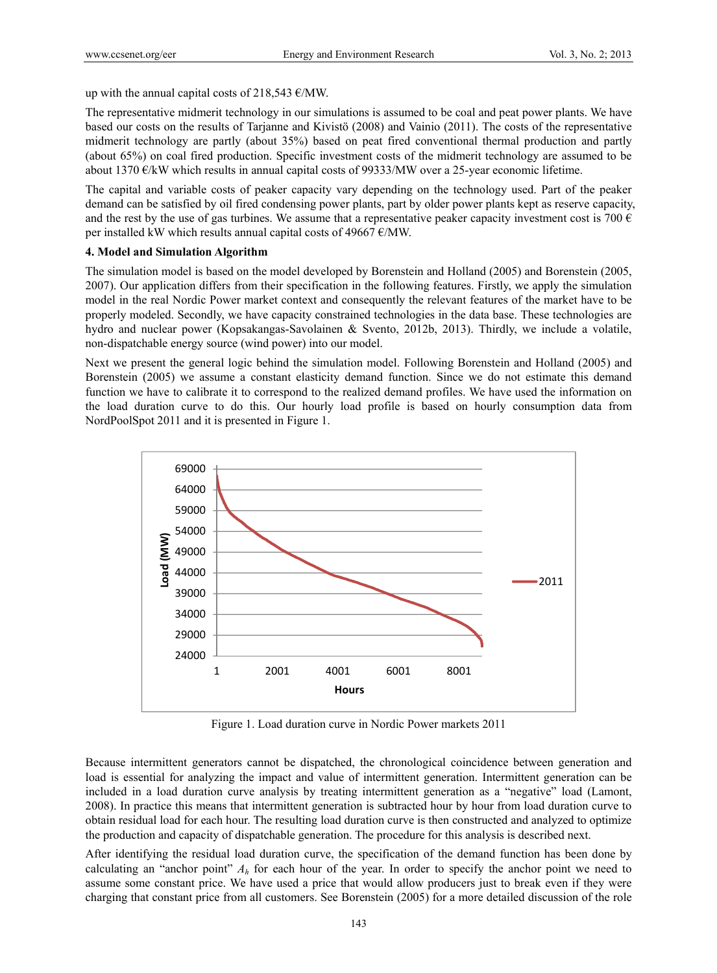up with the annual capital costs of 218,543  $\epsilon$ /MW.

The representative midmerit technology in our simulations is assumed to be coal and peat power plants. We have based our costs on the results of Tarjanne and Kivistö (2008) and Vainio (2011). The costs of the representative midmerit technology are partly (about 35%) based on peat fired conventional thermal production and partly (about 65%) on coal fired production. Specific investment costs of the midmerit technology are assumed to be about 1370 €/kW which results in annual capital costs of 99333/MW over a 25-year economic lifetime.

The capital and variable costs of peaker capacity vary depending on the technology used. Part of the peaker demand can be satisfied by oil fired condensing power plants, part by older power plants kept as reserve capacity, and the rest by the use of gas turbines. We assume that a representative peaker capacity investment cost is 700  $\epsilon$ per installed kW which results annual capital costs of 49667 €/MW.

## **4. Model and Simulation Algorithm**

The simulation model is based on the model developed by Borenstein and Holland (2005) and Borenstein (2005, 2007). Our application differs from their specification in the following features. Firstly, we apply the simulation model in the real Nordic Power market context and consequently the relevant features of the market have to be properly modeled. Secondly, we have capacity constrained technologies in the data base. These technologies are hydro and nuclear power (Kopsakangas-Savolainen & Svento, 2012b, 2013). Thirdly, we include a volatile, non-dispatchable energy source (wind power) into our model.

Next we present the general logic behind the simulation model. Following Borenstein and Holland (2005) and Borenstein (2005) we assume a constant elasticity demand function. Since we do not estimate this demand function we have to calibrate it to correspond to the realized demand profiles. We have used the information on the load duration curve to do this. Our hourly load profile is based on hourly consumption data from NordPoolSpot 2011 and it is presented in Figure 1.



Figure 1. Load duration curve in Nordic Power markets 2011

Because intermittent generators cannot be dispatched, the chronological coincidence between generation and load is essential for analyzing the impact and value of intermittent generation. Intermittent generation can be included in a load duration curve analysis by treating intermittent generation as a "negative" load (Lamont, 2008). In practice this means that intermittent generation is subtracted hour by hour from load duration curve to obtain residual load for each hour. The resulting load duration curve is then constructed and analyzed to optimize the production and capacity of dispatchable generation. The procedure for this analysis is described next.

After identifying the residual load duration curve, the specification of the demand function has been done by calculating an "anchor point" *Ah* for each hour of the year. In order to specify the anchor point we need to assume some constant price. We have used a price that would allow producers just to break even if they were charging that constant price from all customers. See Borenstein (2005) for a more detailed discussion of the role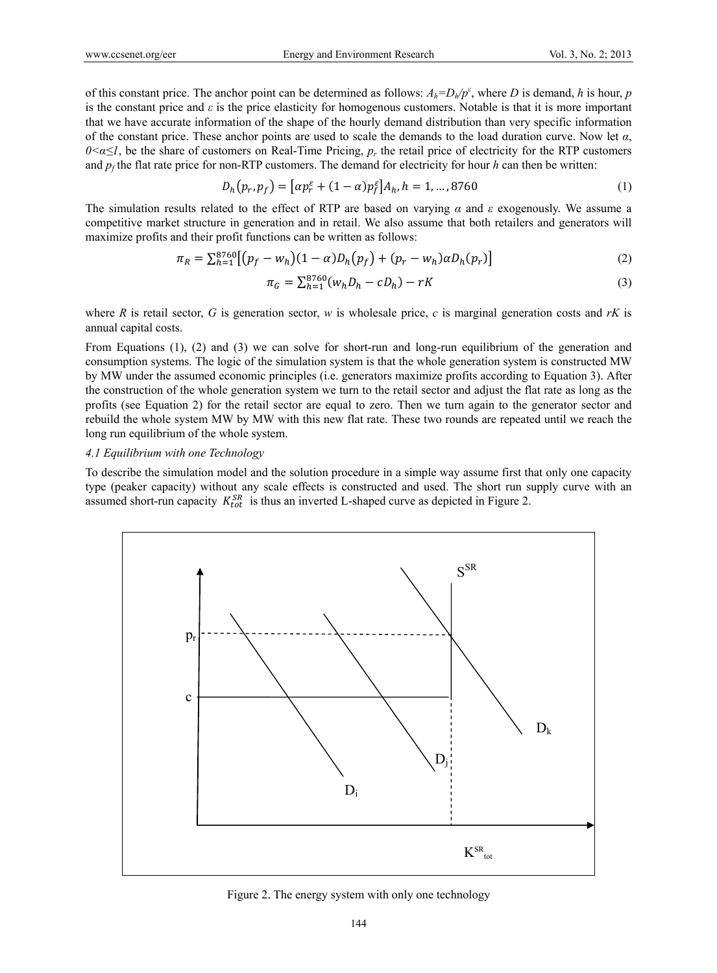of this constant price. The anchor point can be determined as follows:  $A_h = D_h/p^{\varepsilon}$ , where *D* is demand, *h* is hour, *p* is the constant price and  $\varepsilon$  is the price elasticity for homogenous customers. Notable is that it is more important that we have accurate information of the shape of the hourly demand distribution than very specific information of the constant price. These anchor points are used to scale the demands to the load duration curve. Now let *α*,  $0 \leq \alpha \leq 1$ , be the share of customers on Real-Time Pricing,  $p_r$  the retail price of electricity for the RTP customers and  $p_f$  the flat rate price for non-RTP customers. The demand for electricity for hour *h* can then be written:

$$
D_h(p_r, p_f) = [\alpha p_r^{\varepsilon} + (1 - \alpha) p_f^{\varepsilon}] A_h, h = 1, ..., 8760
$$
 (1)

The simulation results related to the effect of RTP are based on varying *α* and *ε* exogenously. We assume a competitive market structure in generation and in retail. We also assume that both retailers and generators will maximize profits and their profit functions can be written as follows:

$$
\pi_R = \sum_{h=1}^{8760} \left[ (p_f - w_h)(1 - \alpha)D_h(p_f) + (p_r - w_h)\alpha D_h(p_r) \right] \tag{2}
$$

$$
\pi_G = \sum_{h=1}^{8760} (w_h D_h - c D_h) - rK \tag{3}
$$

where *R* is retail sector, *G* is generation sector, *w* is wholesale price, *c* is marginal generation costs and *rK* is annual capital costs.

From Equations (1), (2) and (3) we can solve for short-run and long-run equilibrium of the generation and consumption systems. The logic of the simulation system is that the whole generation system is constructed MW by MW under the assumed economic principles (i.e. generators maximize profits according to Equation 3). After the construction of the whole generation system we turn to the retail sector and adjust the flat rate as long as the profits (see Equation 2) for the retail sector are equal to zero. Then we turn again to the generator sector and rebuild the whole system MW by MW with this new flat rate. These two rounds are repeated until we reach the long run equilibrium of the whole system.

## *4.1 Equilibrium with one Technology*

To describe the simulation model and the solution procedure in a simple way assume first that only one capacity type (peaker capacity) without any scale effects is constructed and used. The short run supply curve with an assumed short-run capacity  $K_{tot}^{SR}$  is thus an inverted L-shaped curve as depicted in Figure 2.



Figure 2. The energy system with only one technology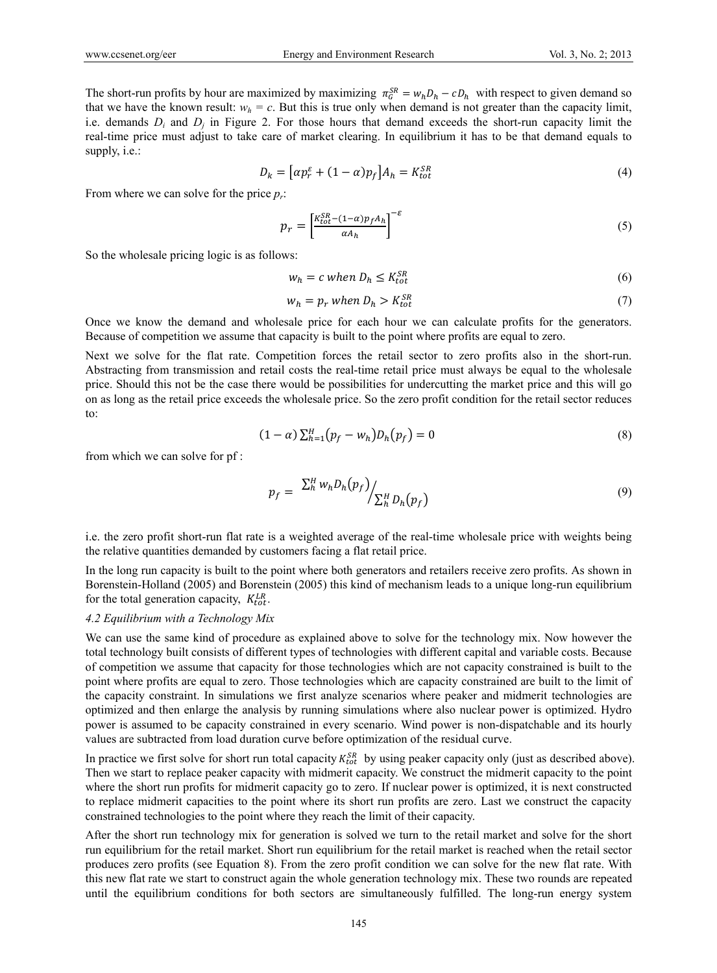The short-run profits by hour are maximized by maximizing  $\pi_G^{SR} = w_h D_h - c D_h$  with respect to given demand so that we have the known result:  $w_h = c$ . But this is true only when demand is not greater than the capacity limit, i.e. demands *Di* and *Dj* in Figure 2. For those hours that demand exceeds the short-run capacity limit the real-time price must adjust to take care of market clearing. In equilibrium it has to be that demand equals to supply, i.e.:

$$
D_k = \left[ \alpha p_r^{\varepsilon} + (1 - \alpha) p_f \right] A_h = K_{tot}^{SR} \tag{4}
$$

From where we can solve for the price  $p_r$ :

$$
p_r = \left[\frac{K_{tot}^{SR} - (1 - \alpha)p_f A_h}{\alpha A_h}\right]^{-\varepsilon} \tag{5}
$$

So the wholesale pricing logic is as follows:

$$
w_h = c \text{ when } D_h \le K_{tot}^{SR} \tag{6}
$$

$$
w_h = p_r \text{ when } D_h > K_{tot}^{SR} \tag{7}
$$

Once we know the demand and wholesale price for each hour we can calculate profits for the generators. Because of competition we assume that capacity is built to the point where profits are equal to zero.

Next we solve for the flat rate. Competition forces the retail sector to zero profits also in the short-run. Abstracting from transmission and retail costs the real-time retail price must always be equal to the wholesale price. Should this not be the case there would be possibilities for undercutting the market price and this will go on as long as the retail price exceeds the wholesale price. So the zero profit condition for the retail sector reduces to:

$$
(1 - \alpha) \sum_{h=1}^{H} (p_f - w_h) D_h(p_f) = 0 \tag{8}
$$

from which we can solve for pf :

$$
p_f = \frac{\sum_{h}^{H} w_h D_h(p_f)}{\sum_{h}^{H} D_h(p_f)}
$$
\n(9)

i.e. the zero profit short-run flat rate is a weighted average of the real-time wholesale price with weights being the relative quantities demanded by customers facing a flat retail price.

In the long run capacity is built to the point where both generators and retailers receive zero profits. As shown in Borenstein-Holland (2005) and Borenstein (2005) this kind of mechanism leads to a unique long-run equilibrium for the total generation capacity,  $K_{tot}^{LR}$ .

#### *4.2 Equilibrium with a Technology Mix*

We can use the same kind of procedure as explained above to solve for the technology mix. Now however the total technology built consists of different types of technologies with different capital and variable costs. Because of competition we assume that capacity for those technologies which are not capacity constrained is built to the point where profits are equal to zero. Those technologies which are capacity constrained are built to the limit of the capacity constraint. In simulations we first analyze scenarios where peaker and midmerit technologies are optimized and then enlarge the analysis by running simulations where also nuclear power is optimized. Hydro power is assumed to be capacity constrained in every scenario. Wind power is non-dispatchable and its hourly values are subtracted from load duration curve before optimization of the residual curve.

In practice we first solve for short run total capacity  $K_{tot}^{SR}$  by using peaker capacity only (just as described above). Then we start to replace peaker capacity with midmerit capacity. We construct the midmerit capacity to the point where the short run profits for midmerit capacity go to zero. If nuclear power is optimized, it is next constructed to replace midmerit capacities to the point where its short run profits are zero. Last we construct the capacity constrained technologies to the point where they reach the limit of their capacity.

After the short run technology mix for generation is solved we turn to the retail market and solve for the short run equilibrium for the retail market. Short run equilibrium for the retail market is reached when the retail sector produces zero profits (see Equation 8). From the zero profit condition we can solve for the new flat rate. With this new flat rate we start to construct again the whole generation technology mix. These two rounds are repeated until the equilibrium conditions for both sectors are simultaneously fulfilled. The long-run energy system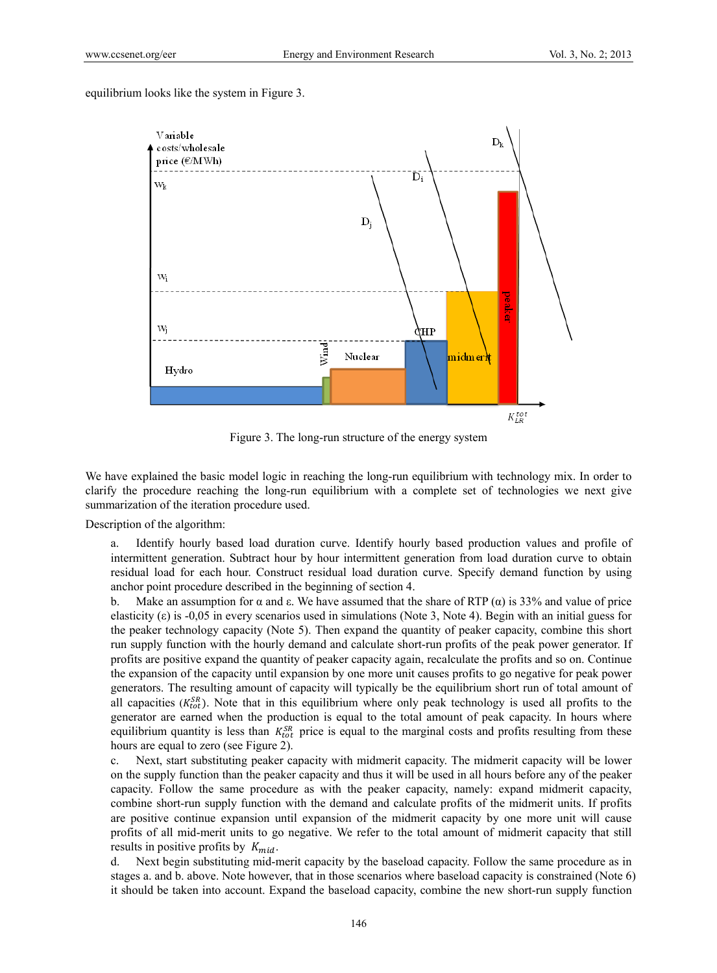equilibrium looks like the system in Figure 3.



Figure 3. The long-run structure of the energy system

We have explained the basic model logic in reaching the long-run equilibrium with technology mix. In order to clarify the procedure reaching the long-run equilibrium with a complete set of technologies we next give summarization of the iteration procedure used.

Description of the algorithm:

a. Identify hourly based load duration curve. Identify hourly based production values and profile of intermittent generation. Subtract hour by hour intermittent generation from load duration curve to obtain residual load for each hour. Construct residual load duration curve. Specify demand function by using anchor point procedure described in the beginning of section 4.

b. Make an assumption for  $\alpha$  and  $\varepsilon$ . We have assumed that the share of RTP  $(\alpha)$  is 33% and value of price elasticity ( $\varepsilon$ ) is -0,05 in every scenarios used in simulations (Note 3, Note 4). Begin with an initial guess for the peaker technology capacity (Note 5). Then expand the quantity of peaker capacity, combine this short run supply function with the hourly demand and calculate short-run profits of the peak power generator. If profits are positive expand the quantity of peaker capacity again, recalculate the profits and so on. Continue the expansion of the capacity until expansion by one more unit causes profits to go negative for peak power generators. The resulting amount of capacity will typically be the equilibrium short run of total amount of all capacities  $(K_{tot}^{SR})$ . Note that in this equilibrium where only peak technology is used all profits to the generator are earned when the production is equal to the total amount of peak capacity. In hours where equilibrium quantity is less than  $K_{tot}^{SR}$  price is equal to the marginal costs and profits resulting from these hours are equal to zero (see Figure 2).

c. Next, start substituting peaker capacity with midmerit capacity. The midmerit capacity will be lower on the supply function than the peaker capacity and thus it will be used in all hours before any of the peaker capacity. Follow the same procedure as with the peaker capacity, namely: expand midmerit capacity, combine short-run supply function with the demand and calculate profits of the midmerit units. If profits are positive continue expansion until expansion of the midmerit capacity by one more unit will cause profits of all mid-merit units to go negative. We refer to the total amount of midmerit capacity that still results in positive profits by  $K_{mid}$ .

d. Next begin substituting mid-merit capacity by the baseload capacity. Follow the same procedure as in stages a. and b. above. Note however, that in those scenarios where baseload capacity is constrained (Note 6) it should be taken into account. Expand the baseload capacity, combine the new short-run supply function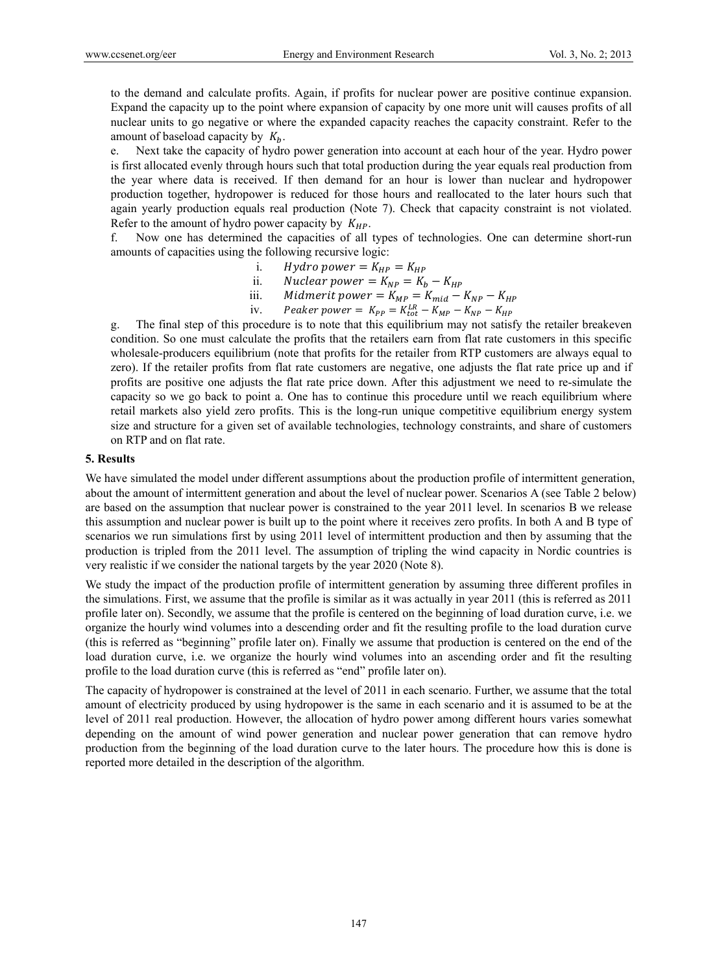to the demand and calculate profits. Again, if profits for nuclear power are positive continue expansion. Expand the capacity up to the point where expansion of capacity by one more unit will causes profits of all nuclear units to go negative or where the expanded capacity reaches the capacity constraint. Refer to the amount of baseload capacity by  $K_h$ .

e. Next take the capacity of hydro power generation into account at each hour of the year. Hydro power is first allocated evenly through hours such that total production during the year equals real production from the year where data is received. If then demand for an hour is lower than nuclear and hydropower production together, hydropower is reduced for those hours and reallocated to the later hours such that again yearly production equals real production (Note 7). Check that capacity constraint is not violated. Refer to the amount of hydro power capacity by  $K_{\mu\nu}$ .

f. Now one has determined the capacities of all types of technologies. One can determine short-run amounts of capacities using the following recursive logic:

- i. Hydro power =  $K_{HP} = K_{HP}$
- ii. *Nuclear power* =  $K_{NP} = K_h K_{HP}$
- iii. Midmerit power =  $K_{MP} = K_{mid} K_{NP} K_{HP}$
- iv. Peaker power =  $K_{PP} = K_{tot}^{LR} K_{MP} K_{NP} K_{HP}$

g. The final step of this procedure is to note that this equilibrium may not satisfy the retailer breakeven condition. So one must calculate the profits that the retailers earn from flat rate customers in this specific wholesale-producers equilibrium (note that profits for the retailer from RTP customers are always equal to zero). If the retailer profits from flat rate customers are negative, one adjusts the flat rate price up and if profits are positive one adjusts the flat rate price down. After this adjustment we need to re-simulate the capacity so we go back to point a. One has to continue this procedure until we reach equilibrium where retail markets also yield zero profits. This is the long-run unique competitive equilibrium energy system size and structure for a given set of available technologies, technology constraints, and share of customers on RTP and on flat rate.

## **5. Results**

We have simulated the model under different assumptions about the production profile of intermittent generation, about the amount of intermittent generation and about the level of nuclear power. Scenarios A (see Table 2 below) are based on the assumption that nuclear power is constrained to the year 2011 level. In scenarios B we release this assumption and nuclear power is built up to the point where it receives zero profits. In both A and B type of scenarios we run simulations first by using 2011 level of intermittent production and then by assuming that the production is tripled from the 2011 level. The assumption of tripling the wind capacity in Nordic countries is very realistic if we consider the national targets by the year 2020 (Note 8).

We study the impact of the production profile of intermittent generation by assuming three different profiles in the simulations. First, we assume that the profile is similar as it was actually in year 2011 (this is referred as 2011 profile later on). Secondly, we assume that the profile is centered on the beginning of load duration curve, i.e. we organize the hourly wind volumes into a descending order and fit the resulting profile to the load duration curve (this is referred as "beginning" profile later on). Finally we assume that production is centered on the end of the load duration curve, i.e. we organize the hourly wind volumes into an ascending order and fit the resulting profile to the load duration curve (this is referred as "end" profile later on).

The capacity of hydropower is constrained at the level of 2011 in each scenario. Further, we assume that the total amount of electricity produced by using hydropower is the same in each scenario and it is assumed to be at the level of 2011 real production. However, the allocation of hydro power among different hours varies somewhat depending on the amount of wind power generation and nuclear power generation that can remove hydro production from the beginning of the load duration curve to the later hours. The procedure how this is done is reported more detailed in the description of the algorithm.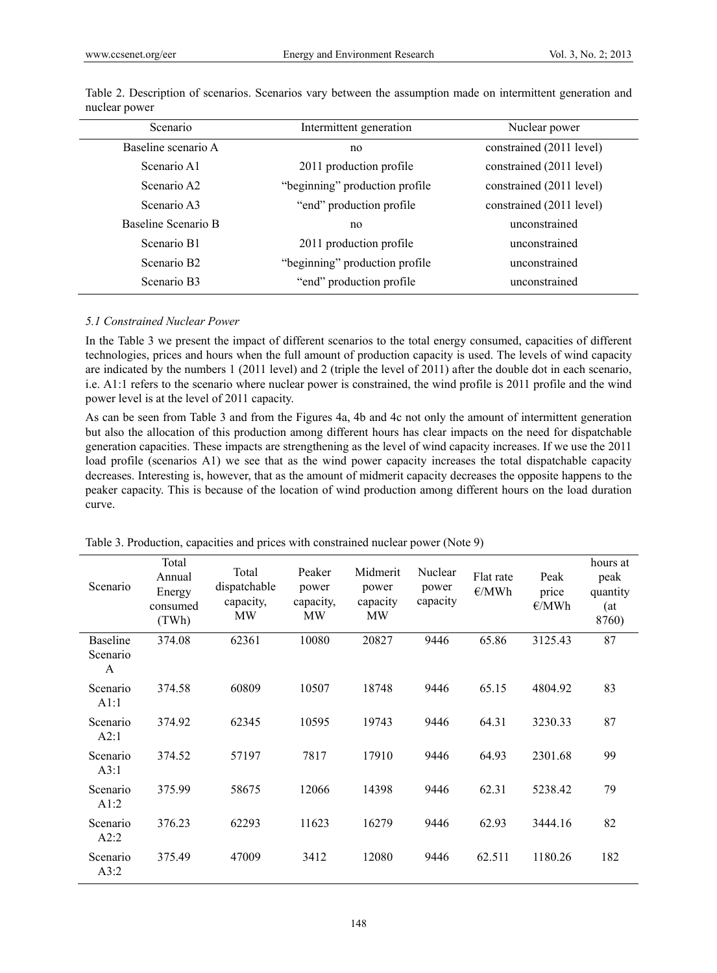| Scenario                | Intermittent generation        | Nuclear power            |
|-------------------------|--------------------------------|--------------------------|
| Baseline scenario A     | no                             | constrained (2011 level) |
| Scenario A1             | 2011 production profile        | constrained (2011 level) |
| Scenario A2             | "beginning" production profile | constrained (2011 level) |
| Scenario A3             | "end" production profile       | constrained (2011 level) |
| Baseline Scenario B     | no                             | unconstrained            |
| Scenario B1             | 2011 production profile        | unconstrained            |
| Scenario B <sub>2</sub> | "beginning" production profile | unconstrained            |
| Scenario B3             | "end" production profile       | unconstrained            |

| Table 2. Description of scenarios. Scenarios vary between the assumption made on intermittent generation and |  |  |  |  |
|--------------------------------------------------------------------------------------------------------------|--|--|--|--|
| nuclear power                                                                                                |  |  |  |  |

## *5.1 Constrained Nuclear Power*

In the Table 3 we present the impact of different scenarios to the total energy consumed, capacities of different technologies, prices and hours when the full amount of production capacity is used. The levels of wind capacity are indicated by the numbers 1 (2011 level) and 2 (triple the level of 2011) after the double dot in each scenario, i.e. A1:1 refers to the scenario where nuclear power is constrained, the wind profile is 2011 profile and the wind power level is at the level of 2011 capacity.

As can be seen from Table 3 and from the Figures 4a, 4b and 4c not only the amount of intermittent generation but also the allocation of this production among different hours has clear impacts on the need for dispatchable generation capacities. These impacts are strengthening as the level of wind capacity increases. If we use the 2011 load profile (scenarios A1) we see that as the wind power capacity increases the total dispatchable capacity decreases. Interesting is, however, that as the amount of midmerit capacity decreases the opposite happens to the peaker capacity. This is because of the location of wind production among different hours on the load duration curve.

| Scenario                         | Total<br>Annual<br>Energy<br>consumed<br>(TWh) | Total<br>dispatchable<br>capacity,<br>MW | Peaker<br>power<br>capacity,<br>MW | Midmerit<br>power<br>capacity<br>MW | Nuclear<br>power<br>capacity | Flat rate<br>E/MWh | Peak<br>price<br>E/MWh | hours at<br>peak<br>quantity<br>(at<br>8760) |
|----------------------------------|------------------------------------------------|------------------------------------------|------------------------------------|-------------------------------------|------------------------------|--------------------|------------------------|----------------------------------------------|
| <b>Baseline</b><br>Scenario<br>A | 374.08                                         | 62361                                    | 10080                              | 20827                               | 9446                         | 65.86              | 3125.43                | 87                                           |
| Scenario<br>A1:1                 | 374.58                                         | 60809                                    | 10507                              | 18748                               | 9446                         | 65.15              | 4804.92                | 83                                           |
| Scenario<br>A2:1                 | 374.92                                         | 62345                                    | 10595                              | 19743                               | 9446                         | 64.31              | 3230.33                | 87                                           |
| Scenario<br>A3:1                 | 374.52                                         | 57197                                    | 7817                               | 17910                               | 9446                         | 64.93              | 2301.68                | 99                                           |
| Scenario<br>A1:2                 | 375.99                                         | 58675                                    | 12066                              | 14398                               | 9446                         | 62.31              | 5238.42                | 79                                           |
| Scenario<br>A2:2                 | 376.23                                         | 62293                                    | 11623                              | 16279                               | 9446                         | 62.93              | 3444.16                | 82                                           |
| Scenario<br>A3:2                 | 375.49                                         | 47009                                    | 3412                               | 12080                               | 9446                         | 62.511             | 1180.26                | 182                                          |

Table 3. Production, capacities and prices with constrained nuclear power (Note 9)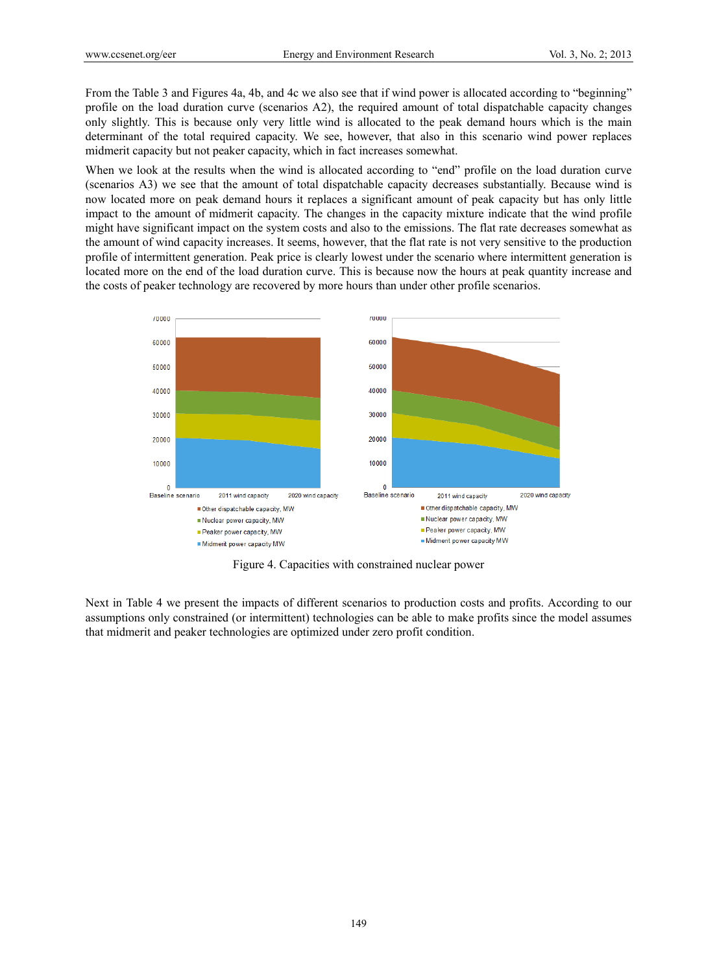From the Table 3 and Figures 4a, 4b, and 4c we also see that if wind power is allocated according to "beginning" profile on the load duration curve (scenarios A2), the required amount of total dispatchable capacity changes only slightly. This is because only very little wind is allocated to the peak demand hours which is the main determinant of the total required capacity. We see, however, that also in this scenario wind power replaces midmerit capacity but not peaker capacity, which in fact increases somewhat.

When we look at the results when the wind is allocated according to "end" profile on the load duration curve (scenarios A3) we see that the amount of total dispatchable capacity decreases substantially. Because wind is now located more on peak demand hours it replaces a significant amount of peak capacity but has only little impact to the amount of midmerit capacity. The changes in the capacity mixture indicate that the wind profile might have significant impact on the system costs and also to the emissions. The flat rate decreases somewhat as the amount of wind capacity increases. It seems, however, that the flat rate is not very sensitive to the production profile of intermittent generation. Peak price is clearly lowest under the scenario where intermittent generation is located more on the end of the load duration curve. This is because now the hours at peak quantity increase and the costs of peaker technology are recovered by more hours than under other profile scenarios.



Figure 4. Capacities with constrained nuclear power

Next in Table 4 we present the impacts of different scenarios to production costs and profits. According to our assumptions only constrained (or intermittent) technologies can be able to make profits since the model assumes that midmerit and peaker technologies are optimized under zero profit condition.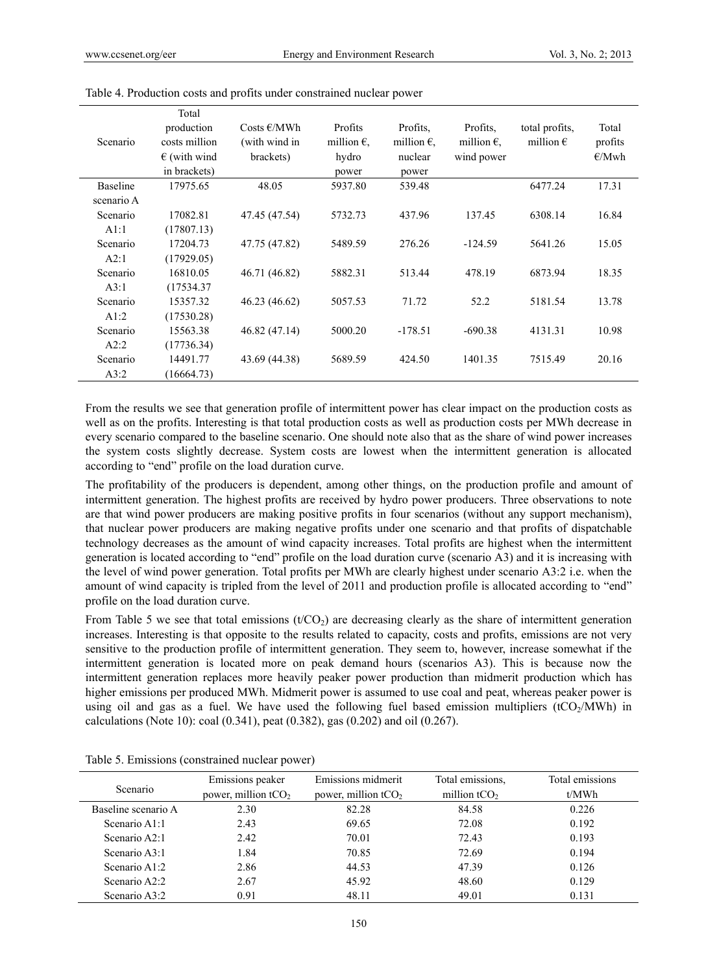|                 | Total                       |                                        |                                 |                                  |                                  |                                      |                  |
|-----------------|-----------------------------|----------------------------------------|---------------------------------|----------------------------------|----------------------------------|--------------------------------------|------------------|
| Scenario        | production<br>costs million | Costs $\epsilon$ /MWh<br>(with wind in | Profits<br>million $\epsilon$ , | Profits.<br>million $\epsilon$ . | Profits.<br>million $\epsilon$ . | total profits,<br>million $\epsilon$ | Total<br>profits |
|                 | $\epsilon$ (with wind       | brackets)                              | hydro                           | nuclear                          | wind power                       |                                      | E/Mwh            |
|                 | in brackets)                |                                        | power                           | power                            |                                  |                                      |                  |
| <b>Baseline</b> | 17975.65                    | 48.05                                  | 5937.80                         | 539.48                           |                                  | 6477.24                              | 17.31            |
| scenario A      |                             |                                        |                                 |                                  |                                  |                                      |                  |
| Scenario        | 17082.81                    | 47.45 (47.54)                          | 5732.73                         | 437.96                           | 137.45                           | 6308.14                              | 16.84            |
| A1:1            | (17807.13)                  |                                        |                                 |                                  |                                  |                                      |                  |
| Scenario        | 17204.73                    | 47.75 (47.82)                          | 5489.59                         | 276.26                           | $-124.59$                        | 5641.26                              | 15.05            |
| A2:1            | (17929.05)                  |                                        |                                 |                                  |                                  |                                      |                  |
| Scenario        | 16810.05                    | 46.71 (46.82)                          | 5882.31                         | 513.44                           | 478.19                           | 6873.94                              | 18.35            |
| A3:1            | (17534.37                   |                                        |                                 |                                  |                                  |                                      |                  |
| Scenario        | 15357.32                    | 46.23 (46.62)                          | 5057.53                         | 71.72                            | 52.2                             | 5181.54                              | 13.78            |
| A1:2            | (17530.28)                  |                                        |                                 |                                  |                                  |                                      |                  |
| Scenario        | 15563.38                    | 46.82 (47.14)                          | 5000.20                         | $-178.51$                        | $-690.38$                        | 4131.31                              | 10.98            |
| A2:2            | (17736.34)                  |                                        |                                 |                                  |                                  |                                      |                  |
| Scenario        | 14491.77                    | 43.69 (44.38)                          | 5689.59                         | 424.50                           | 1401.35                          | 7515.49                              | 20.16            |
| A3:2            | (16664.73)                  |                                        |                                 |                                  |                                  |                                      |                  |

Table 4. Production costs and profits under constrained nuclear power

From the results we see that generation profile of intermittent power has clear impact on the production costs as well as on the profits. Interesting is that total production costs as well as production costs per MWh decrease in every scenario compared to the baseline scenario. One should note also that as the share of wind power increases the system costs slightly decrease. System costs are lowest when the intermittent generation is allocated according to "end" profile on the load duration curve.

The profitability of the producers is dependent, among other things, on the production profile and amount of intermittent generation. The highest profits are received by hydro power producers. Three observations to note are that wind power producers are making positive profits in four scenarios (without any support mechanism), that nuclear power producers are making negative profits under one scenario and that profits of dispatchable technology decreases as the amount of wind capacity increases. Total profits are highest when the intermittent generation is located according to "end" profile on the load duration curve (scenario A3) and it is increasing with the level of wind power generation. Total profits per MWh are clearly highest under scenario A3:2 i.e. when the amount of wind capacity is tripled from the level of 2011 and production profile is allocated according to "end" profile on the load duration curve.

From Table 5 we see that total emissions ( $t/CO<sub>2</sub>$ ) are decreasing clearly as the share of intermittent generation increases. Interesting is that opposite to the results related to capacity, costs and profits, emissions are not very sensitive to the production profile of intermittent generation. They seem to, however, increase somewhat if the intermittent generation is located more on peak demand hours (scenarios A3). This is because now the intermittent generation replaces more heavily peaker power production than midmerit production which has higher emissions per produced MWh. Midmerit power is assumed to use coal and peat, whereas peaker power is using oil and gas as a fuel. We have used the following fuel based emission multipliers (tCO $_2$ /MWh) in calculations (Note 10): coal (0.341), peat (0.382), gas (0.202) and oil (0.267).

| <b>Scenario</b>     | Emissions peaker<br>power, million $tCO2$ | Emissions midmerit<br>power, million $tCO2$ | Total emissions.<br>million $tCO2$ | Total emissions<br>t/MWh |
|---------------------|-------------------------------------------|---------------------------------------------|------------------------------------|--------------------------|
| Baseline scenario A | 2.30                                      | 82.28                                       | 84.58                              | 0.226                    |
| Scenario $A1:1$     | 2.43                                      | 69.65                                       | 72.08                              | 0.192                    |
| Scenario $A2:1$     | 2.42                                      | 70.01                                       | 72.43                              | 0.193                    |
| Scenario $A3:1$     | 1.84                                      | 70.85                                       | 72.69                              | 0.194                    |
| Scenario A1:2       | 2.86                                      | 44.53                                       | 47.39                              | 0.126                    |
| Scenario A2:2       | 2.67                                      | 45.92                                       | 48.60                              | 0.129                    |
| Scenario A3:2       | 0.91                                      | 48.11                                       | 49.01                              | 0.131                    |

Table 5. Emissions (constrained nuclear power)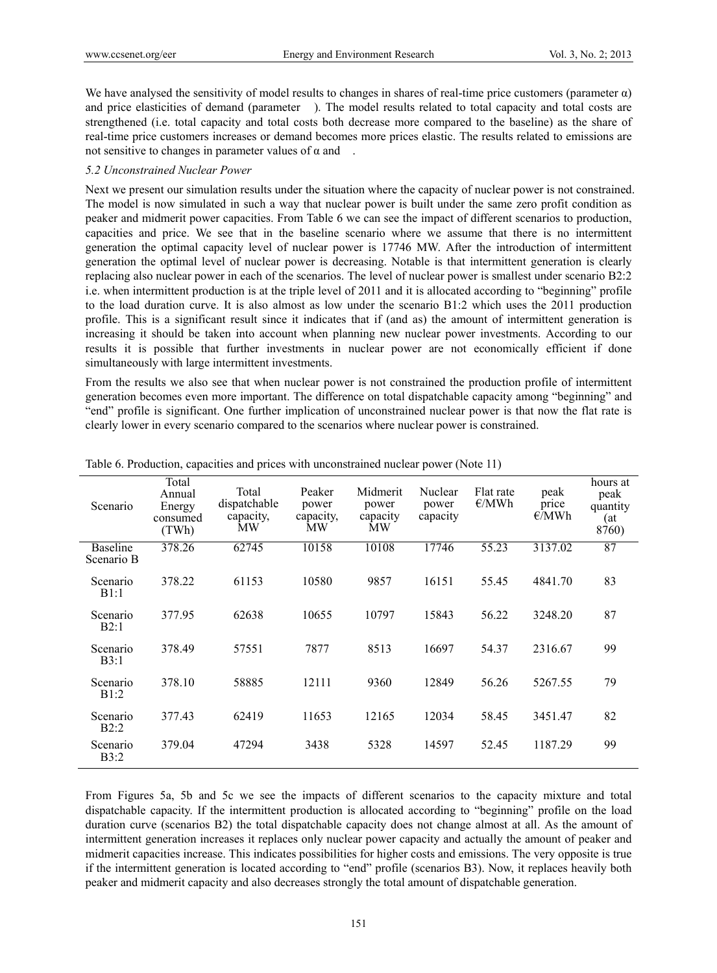We have analysed the sensitivity of model results to changes in shares of real-time price customers (parameter  $\alpha$ ) and price elasticities of demand (parameter ). The model results related to total capacity and total costs are strengthened (i.e. total capacity and total costs both decrease more compared to the baseline) as the share of real-time price customers increases or demand becomes more prices elastic. The results related to emissions are not sensitive to changes in parameter values of  $\alpha$  and .

## *5.2 Unconstrained Nuclear Power*

Next we present our simulation results under the situation where the capacity of nuclear power is not constrained. The model is now simulated in such a way that nuclear power is built under the same zero profit condition as peaker and midmerit power capacities. From Table 6 we can see the impact of different scenarios to production, capacities and price. We see that in the baseline scenario where we assume that there is no intermittent generation the optimal capacity level of nuclear power is 17746 MW. After the introduction of intermittent generation the optimal level of nuclear power is decreasing. Notable is that intermittent generation is clearly replacing also nuclear power in each of the scenarios. The level of nuclear power is smallest under scenario B2:2 i.e. when intermittent production is at the triple level of 2011 and it is allocated according to "beginning" profile to the load duration curve. It is also almost as low under the scenario B1:2 which uses the 2011 production profile. This is a significant result since it indicates that if (and as) the amount of intermittent generation is increasing it should be taken into account when planning new nuclear power investments. According to our results it is possible that further investments in nuclear power are not economically efficient if done simultaneously with large intermittent investments.

From the results we also see that when nuclear power is not constrained the production profile of intermittent generation becomes even more important. The difference on total dispatchable capacity among "beginning" and "end" profile is significant. One further implication of unconstrained nuclear power is that now the flat rate is clearly lower in every scenario compared to the scenarios where nuclear power is constrained.

| Scenario                      | Total<br>Annual<br>Energy<br>consumed<br>(TWh) | Total<br>dispatchable<br>capacity,<br>MW | Peaker<br>power<br>capacity,<br>МW | Midmerit<br>power<br>capacity<br>МW | Nuclear<br>power<br>capacity | Flat rate<br>E/MWh | peak<br>price<br>E/MWh | hours at<br>peak<br>quantity<br>(at<br>8760) |
|-------------------------------|------------------------------------------------|------------------------------------------|------------------------------------|-------------------------------------|------------------------------|--------------------|------------------------|----------------------------------------------|
| <b>Baseline</b><br>Scenario B | 378.26                                         | 62745                                    | 10158                              | 10108                               | 17746                        | 55.23              | 3137.02                | 87                                           |
| Scenario<br>B1:1              | 378.22                                         | 61153                                    | 10580                              | 9857                                | 16151                        | 55.45              | 4841.70                | 83                                           |
| Scenario<br>B2:1              | 377.95                                         | 62638                                    | 10655                              | 10797                               | 15843                        | 56.22              | 3248.20                | 87                                           |
| Scenario<br>B3:1              | 378.49                                         | 57551                                    | 7877                               | 8513                                | 16697                        | 54.37              | 2316.67                | 99                                           |
| Scenario<br>B1:2              | 378.10                                         | 58885                                    | 12111                              | 9360                                | 12849                        | 56.26              | 5267.55                | 79                                           |
| Scenario<br>B2:2              | 377.43                                         | 62419                                    | 11653                              | 12165                               | 12034                        | 58.45              | 3451.47                | 82                                           |
| Scenario<br>B3:2              | 379.04                                         | 47294                                    | 3438                               | 5328                                | 14597                        | 52.45              | 1187.29                | 99                                           |

Table 6. Production, capacities and prices with unconstrained nuclear power (Note 11)

From Figures 5a, 5b and 5c we see the impacts of different scenarios to the capacity mixture and total dispatchable capacity. If the intermittent production is allocated according to "beginning" profile on the load duration curve (scenarios B2) the total dispatchable capacity does not change almost at all. As the amount of intermittent generation increases it replaces only nuclear power capacity and actually the amount of peaker and midmerit capacities increase. This indicates possibilities for higher costs and emissions. The very opposite is true if the intermittent generation is located according to "end" profile (scenarios B3). Now, it replaces heavily both peaker and midmerit capacity and also decreases strongly the total amount of dispatchable generation.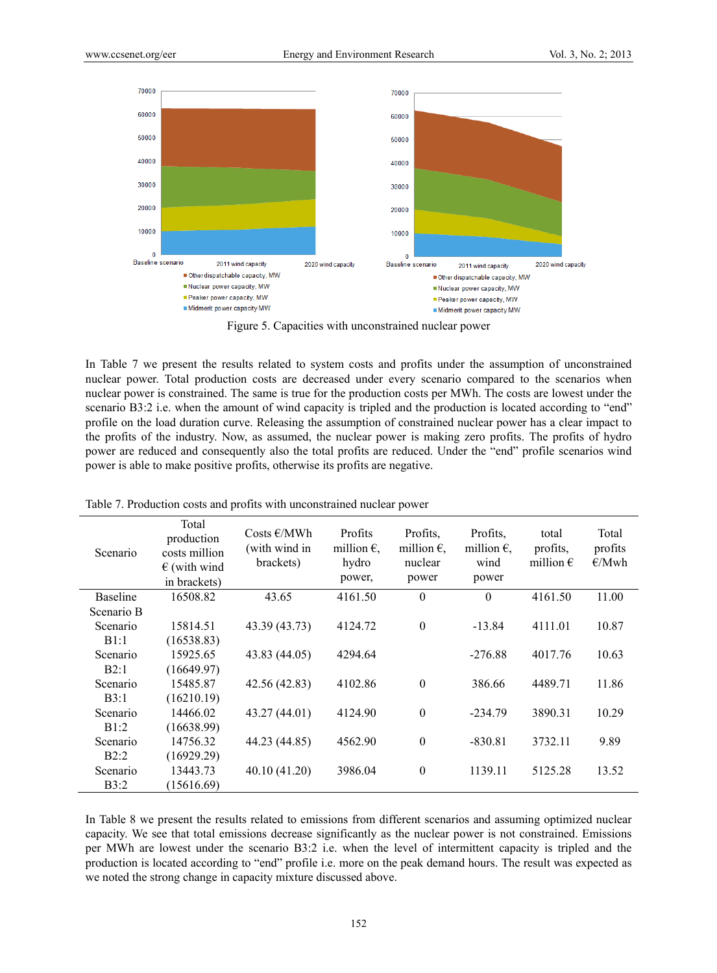

Figure 5. Capacities with unconstrained nuclear power

In Table 7 we present the results related to system costs and profits under the assumption of unconstrained nuclear power. Total production costs are decreased under every scenario compared to the scenarios when nuclear power is constrained. The same is true for the production costs per MWh. The costs are lowest under the scenario B3:2 i.e. when the amount of wind capacity is tripled and the production is located according to "end" profile on the load duration curve. Releasing the assumption of constrained nuclear power has a clear impact to the profits of the industry. Now, as assumed, the nuclear power is making zero profits. The profits of hydro power are reduced and consequently also the total profits are reduced. Under the "end" profile scenarios wind power is able to make positive profits, otherwise its profits are negative.

| Scenario        | Total<br>production<br>costs million<br>$\epsilon$ (with wind<br>in brackets) | Costs $\epsilon$ /MWh<br>(with wind in<br>brackets) | Profits<br>million $\epsilon$ ,<br>hydro<br>power, | Profits,<br>million $\epsilon$ ,<br>nuclear<br>power | Profits,<br>million $\epsilon$ ,<br>wind<br>power | total<br>profits,<br>million $\epsilon$ | Total<br>profits<br>E/Mwh |
|-----------------|-------------------------------------------------------------------------------|-----------------------------------------------------|----------------------------------------------------|------------------------------------------------------|---------------------------------------------------|-----------------------------------------|---------------------------|
| <b>Baseline</b> | 16508.82                                                                      | 43.65                                               | 4161.50                                            | $\overline{0}$                                       | $\theta$                                          | 4161.50                                 | 11.00                     |
| Scenario B      |                                                                               |                                                     |                                                    |                                                      |                                                   |                                         |                           |
| Scenario        | 15814.51                                                                      | 43.39 (43.73)                                       | 4124.72                                            | $\boldsymbol{0}$                                     | $-13.84$                                          | 4111.01                                 | 10.87                     |
| B1:1            | (16538.83)                                                                    |                                                     |                                                    |                                                      |                                                   |                                         |                           |
| Scenario        | 15925.65                                                                      | 43.83 (44.05)                                       | 4294.64                                            |                                                      | $-276.88$                                         | 4017.76                                 | 10.63                     |
| B2:1            | (16649.97)                                                                    |                                                     |                                                    |                                                      |                                                   |                                         |                           |
| Scenario        | 15485.87                                                                      | 42.56 (42.83)                                       | 4102.86                                            | $\mathbf{0}$                                         | 386.66                                            | 4489.71                                 | 11.86                     |
| B3:1            | (16210.19)                                                                    |                                                     |                                                    |                                                      |                                                   |                                         |                           |
| Scenario        | 14466.02                                                                      | 43.27 (44.01)                                       | 4124.90                                            | $\boldsymbol{0}$                                     | $-234.79$                                         | 3890.31                                 | 10.29                     |
| B1:2            | (16638.99)                                                                    |                                                     |                                                    |                                                      |                                                   |                                         |                           |
| Scenario        | 14756.32                                                                      | 44.23 (44.85)                                       | 4562.90                                            | $\boldsymbol{0}$                                     | $-830.81$                                         | 3732.11                                 | 9.89                      |
| B2:2            | (16929.29)                                                                    |                                                     |                                                    |                                                      |                                                   |                                         |                           |
| Scenario        | 13443.73                                                                      | 40.10(41.20)                                        | 3986.04                                            | $\boldsymbol{0}$                                     | 1139.11                                           | 5125.28                                 | 13.52                     |
| B3:2            | (15616.69)                                                                    |                                                     |                                                    |                                                      |                                                   |                                         |                           |

Table 7. Production costs and profits with unconstrained nuclear power

In Table 8 we present the results related to emissions from different scenarios and assuming optimized nuclear capacity. We see that total emissions decrease significantly as the nuclear power is not constrained. Emissions per MWh are lowest under the scenario B3:2 i.e. when the level of intermittent capacity is tripled and the production is located according to "end" profile i.e. more on the peak demand hours. The result was expected as we noted the strong change in capacity mixture discussed above.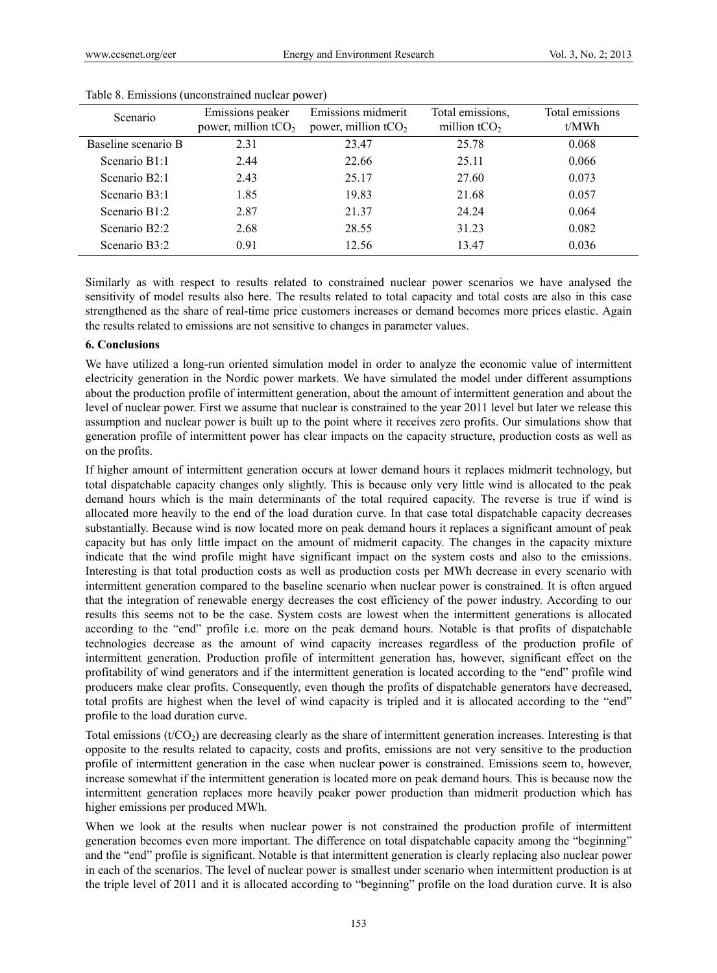| <b>Scenario</b>       | Emissions peaker<br>power, million $tCO2$ | Emissions midmerit<br>power, million $tCO2$ | Total emissions,<br>million $tCO2$ | Total emissions<br>t/MWh |
|-----------------------|-------------------------------------------|---------------------------------------------|------------------------------------|--------------------------|
| Baseline scenario B   | 2.31                                      | 23.47                                       | 25.78                              | 0.068                    |
| Scenario B1:1         | 2.44                                      | 22.66                                       | 25.11                              | 0.066                    |
| Scenario $B2 \cdot 1$ | 2.43                                      | 25.17                                       | 27.60                              | 0.073                    |
| Scenario B3:1         | 1.85                                      | 19.83                                       | 21.68                              | 0.057                    |
| Scenario $B1.2$       | 2.87                                      | 21.37                                       | 24.24                              | 0.064                    |
| Scenario B2:2         | 2.68                                      | 28.55                                       | 31.23                              | 0.082                    |
| Scenario B3:2         | 0.91                                      | 12.56                                       | 13.47                              | 0.036                    |

#### Table 8. Emissions (unconstrained nuclear power)

Similarly as with respect to results related to constrained nuclear power scenarios we have analysed the sensitivity of model results also here. The results related to total capacity and total costs are also in this case strengthened as the share of real-time price customers increases or demand becomes more prices elastic. Again the results related to emissions are not sensitive to changes in parameter values.

# **6. Conclusions**

We have utilized a long-run oriented simulation model in order to analyze the economic value of intermittent electricity generation in the Nordic power markets. We have simulated the model under different assumptions about the production profile of intermittent generation, about the amount of intermittent generation and about the level of nuclear power. First we assume that nuclear is constrained to the year 2011 level but later we release this assumption and nuclear power is built up to the point where it receives zero profits. Our simulations show that generation profile of intermittent power has clear impacts on the capacity structure, production costs as well as on the profits.

If higher amount of intermittent generation occurs at lower demand hours it replaces midmerit technology, but total dispatchable capacity changes only slightly. This is because only very little wind is allocated to the peak demand hours which is the main determinants of the total required capacity. The reverse is true if wind is allocated more heavily to the end of the load duration curve. In that case total dispatchable capacity decreases substantially. Because wind is now located more on peak demand hours it replaces a significant amount of peak capacity but has only little impact on the amount of midmerit capacity. The changes in the capacity mixture indicate that the wind profile might have significant impact on the system costs and also to the emissions. Interesting is that total production costs as well as production costs per MWh decrease in every scenario with intermittent generation compared to the baseline scenario when nuclear power is constrained. It is often argued that the integration of renewable energy decreases the cost efficiency of the power industry. According to our results this seems not to be the case. System costs are lowest when the intermittent generations is allocated according to the "end" profile i.e. more on the peak demand hours. Notable is that profits of dispatchable technologies decrease as the amount of wind capacity increases regardless of the production profile of intermittent generation. Production profile of intermittent generation has, however, significant effect on the profitability of wind generators and if the intermittent generation is located according to the "end" profile wind producers make clear profits. Consequently, even though the profits of dispatchable generators have decreased, total profits are highest when the level of wind capacity is tripled and it is allocated according to the "end" profile to the load duration curve.

Total emissions  $(t/CO<sub>2</sub>)$  are decreasing clearly as the share of intermittent generation increases. Interesting is that opposite to the results related to capacity, costs and profits, emissions are not very sensitive to the production profile of intermittent generation in the case when nuclear power is constrained. Emissions seem to, however, increase somewhat if the intermittent generation is located more on peak demand hours. This is because now the intermittent generation replaces more heavily peaker power production than midmerit production which has higher emissions per produced MWh.

When we look at the results when nuclear power is not constrained the production profile of intermittent generation becomes even more important. The difference on total dispatchable capacity among the "beginning" and the "end" profile is significant. Notable is that intermittent generation is clearly replacing also nuclear power in each of the scenarios. The level of nuclear power is smallest under scenario when intermittent production is at the triple level of 2011 and it is allocated according to "beginning" profile on the load duration curve. It is also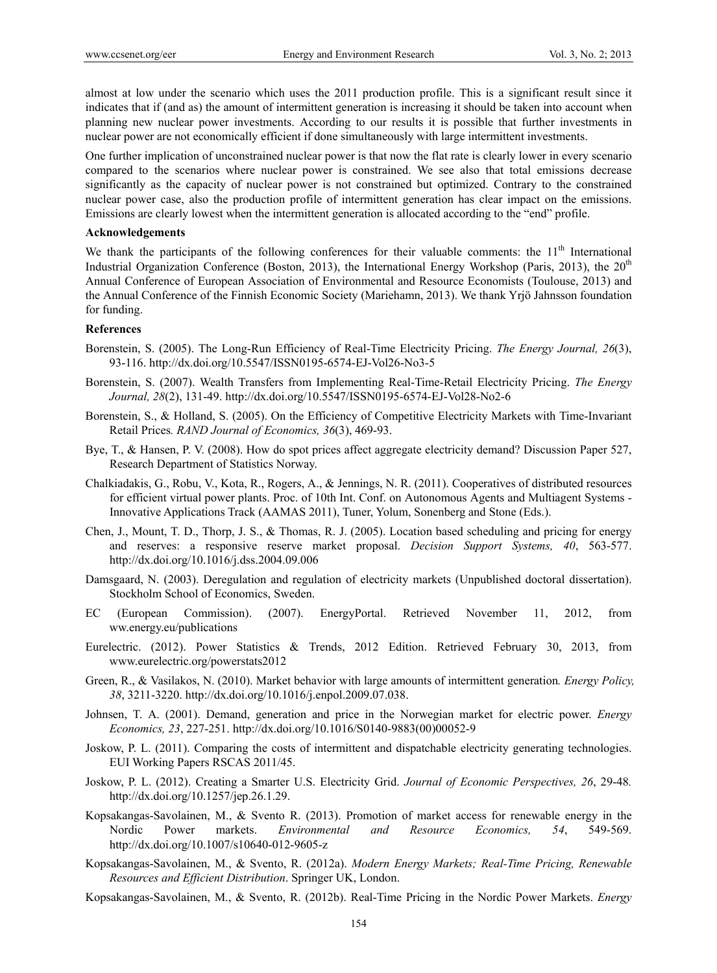almost at low under the scenario which uses the 2011 production profile. This is a significant result since it indicates that if (and as) the amount of intermittent generation is increasing it should be taken into account when planning new nuclear power investments. According to our results it is possible that further investments in nuclear power are not economically efficient if done simultaneously with large intermittent investments.

One further implication of unconstrained nuclear power is that now the flat rate is clearly lower in every scenario compared to the scenarios where nuclear power is constrained. We see also that total emissions decrease significantly as the capacity of nuclear power is not constrained but optimized. Contrary to the constrained nuclear power case, also the production profile of intermittent generation has clear impact on the emissions. Emissions are clearly lowest when the intermittent generation is allocated according to the "end" profile.

#### **Acknowledgements**

We thank the participants of the following conferences for their valuable comments: the  $11<sup>th</sup>$  International Industrial Organization Conference (Boston, 2013), the International Energy Workshop (Paris, 2013), the  $20<sup>th</sup>$ Annual Conference of European Association of Environmental and Resource Economists (Toulouse, 2013) and the Annual Conference of the Finnish Economic Society (Mariehamn, 2013). We thank Yrjö Jahnsson foundation for funding.

# **References**

- Borenstein, S. (2005). The Long-Run Efficiency of Real-Time Electricity Pricing. *The Energy Journal, 26*(3), 93-116. http://dx.doi.org/10.5547/ISSN0195-6574-EJ-Vol26-No3-5
- Borenstein, S. (2007). Wealth Transfers from Implementing Real-Time-Retail Electricity Pricing. *The Energy Journal, 28*(2), 131-49. http://dx.doi.org/10.5547/ISSN0195-6574-EJ-Vol28-No2-6
- Borenstein, S., & Holland, S. (2005). On the Efficiency of Competitive Electricity Markets with Time-Invariant Retail Prices*. RAND Journal of Economics, 36*(3), 469-93.
- Bye, T., & Hansen, P. V. (2008). How do spot prices affect aggregate electricity demand? Discussion Paper 527, Research Department of Statistics Norway.
- Chalkiadakis, G., Robu, V., Kota, R., Rogers, A., & Jennings, N. R. (2011). Cooperatives of distributed resources for efficient virtual power plants. Proc. of 10th Int. Conf. on Autonomous Agents and Multiagent Systems - Innovative Applications Track (AAMAS 2011), Tuner, Yolum, Sonenberg and Stone (Eds.).
- Chen, J., Mount, T. D., Thorp, J. S., & Thomas, R. J. (2005). Location based scheduling and pricing for energy and reserves: a responsive reserve market proposal. *Decision Support Systems, 40*, 563-577. http://dx.doi.org/10.1016/j.dss.2004.09.006
- Damsgaard, N. (2003). Deregulation and regulation of electricity markets (Unpublished doctoral dissertation). Stockholm School of Economics, Sweden.
- EC (European Commission). (2007). EnergyPortal. Retrieved November 11, 2012, from ww.energy.eu/publications
- Eurelectric. (2012). Power Statistics & Trends, 2012 Edition. Retrieved February 30, 2013, from www.eurelectric.org/powerstats2012
- Green, R., & Vasilakos, N. (2010). Market behavior with large amounts of intermittent generation*. Energy Policy, 38*, 3211-3220. http://dx.doi.org/10.1016/j.enpol.2009.07.038.
- Johnsen, T. A. (2001). Demand, generation and price in the Norwegian market for electric power. *Energy Economics, 23*, 227-251. http://dx.doi.org/10.1016/S0140-9883(00)00052-9
- Joskow, P. L. (2011). Comparing the costs of intermittent and dispatchable electricity generating technologies. EUI Working Papers RSCAS 2011/45.
- Joskow, P. L. (2012). Creating a Smarter U.S. Electricity Grid. *Journal of Economic Perspectives, 26*, 29-48*.* http://dx.doi.org/10.1257/jep.26.1.29.
- Kopsakangas-Savolainen, M., & Svento R. (2013). Promotion of market access for renewable energy in the Nordic Power markets. *Environmental and Resource Economics, 54*, 549-569. http://dx.doi.org/10.1007/s10640-012-9605-z
- Kopsakangas-Savolainen, M., & Svento, R. (2012a). *Modern Energy Markets; Real-Time Pricing, Renewable Resources and Efficient Distribution*. Springer UK, London.
- Kopsakangas-Savolainen, M., & Svento, R. (2012b). Real-Time Pricing in the Nordic Power Markets. *Energy*